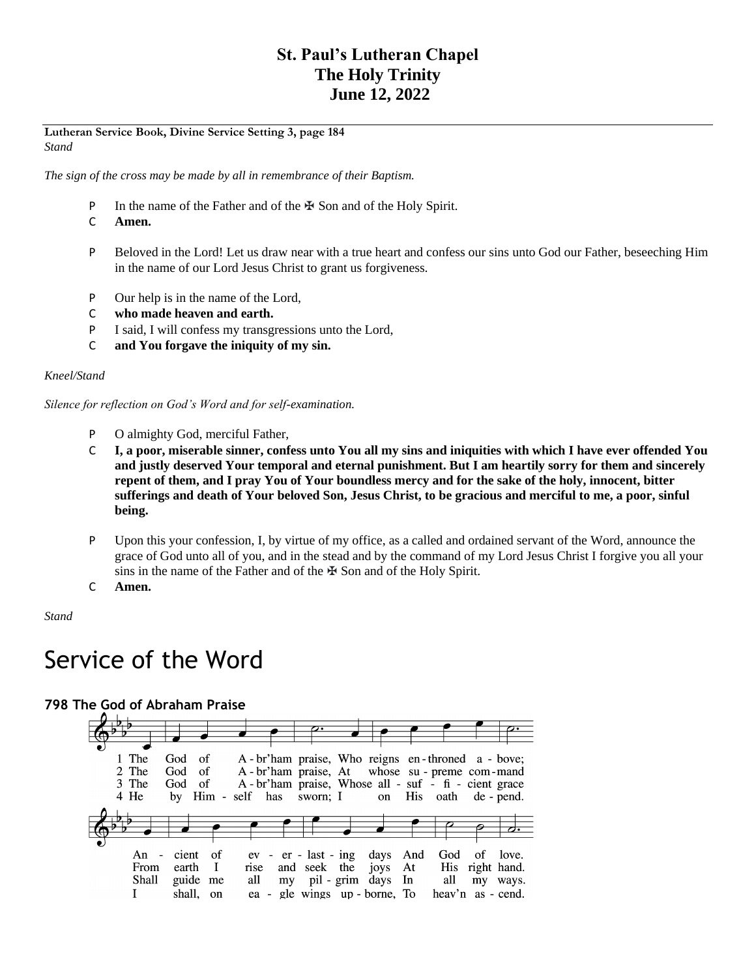# **St. Paul's Lutheran Chapel The Holy Trinity June 12, 2022**

#### **Lutheran Service Book, Divine Service Setting 3, page 184** *Stand*

*The sign of the cross may be made by all in remembrance of their Baptism.*

- P In the name of the Father and of the  $\mathbb F$  Son and of the Holy Spirit.
- C **Amen.**
- P Beloved in the Lord! Let us draw near with a true heart and confess our sins unto God our Father, beseeching Him in the name of our Lord Jesus Christ to grant us forgiveness.
- P Our help is in the name of the Lord,
- C **who made heaven and earth.**
- P I said, I will confess my transgressions unto the Lord,
- C **and You forgave the iniquity of my sin.**

#### *Kneel/Stand*

*Silence for reflection on God's Word and for self-examination.*

- P O almighty God, merciful Father,
- C **I, a poor, miserable sinner, confess unto You all my sins and iniquities with which I have ever offended You and justly deserved Your temporal and eternal punishment. But I am heartily sorry for them and sincerely repent of them, and I pray You of Your boundless mercy and for the sake of the holy, innocent, bitter sufferings and death of Your beloved Son, Jesus Christ, to be gracious and merciful to me, a poor, sinful being.**
- P Upon this your confession, I, by virtue of my office, as a called and ordained servant of the Word, announce the grace of God unto all of you, and in the stead and by the command of my Lord Jesus Christ I forgive you all your sins in the name of the Father and of the  $\mathbb F$  Son and of the Holy Spirit.
- C **Amen.**

*Stand*

# Service of the Word

#### **798 The God of Abraham Praise**1 The God of A - br'ham praise, Who reigns en-throned a - bove; 2 The God of A - br'ham praise, At whose su - preme com-mand 3 The A - br'ham praise, Whose all - suf - fi - cient grace God of 4 He by Him - self has sworn; I His oath de - pend. on ನ. cient of  $ev$  $er - last - ing$ days And God  $\sigma$ love. An  $\ddot{\phantom{1}}$ From earth  $\bf{I}$ rise and seek the joys At His right hand. Shall guide me all mv pil - grim days In all my ways.  $\bf{I}$ shall, on ea - gle wings up - borne, To heav'n as - cend.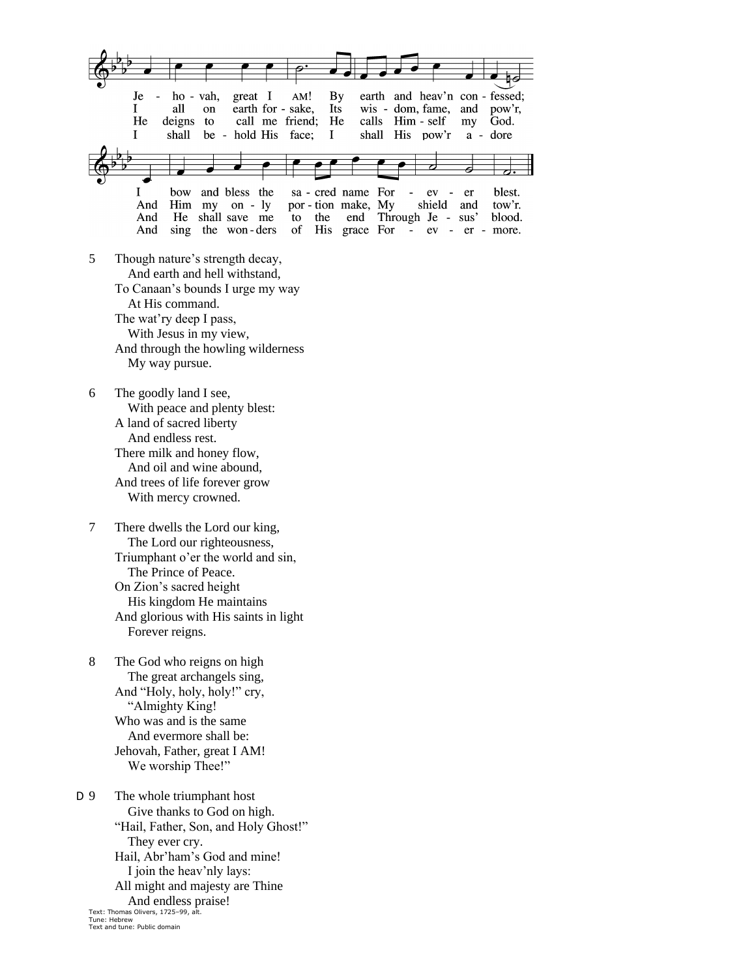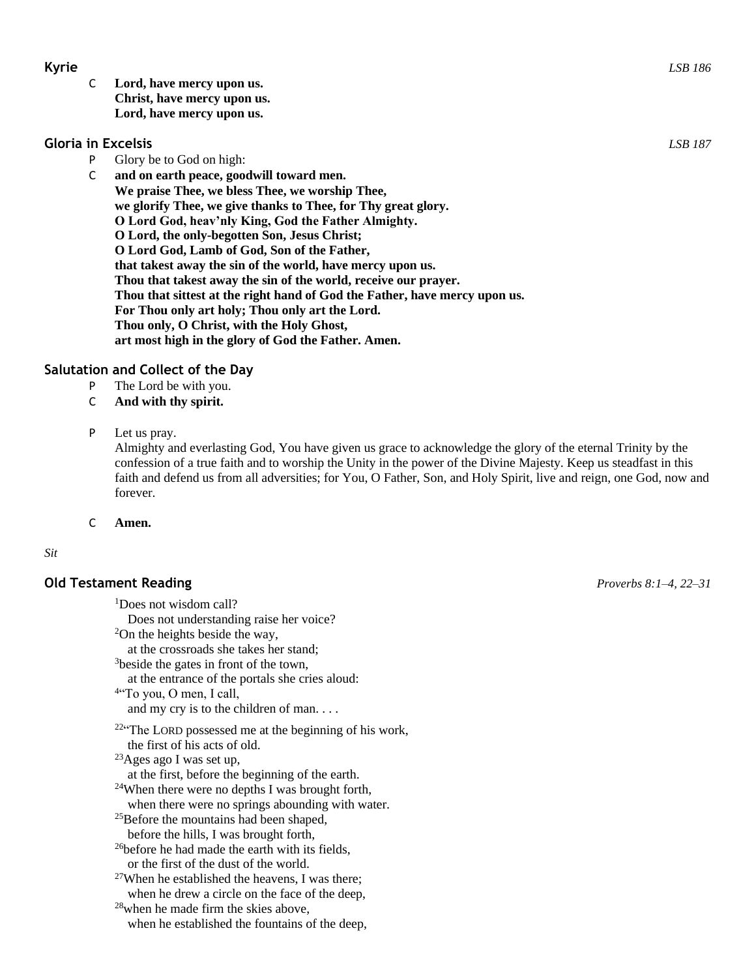C **Lord, have mercy upon us. Christ, have mercy upon us. Lord, have mercy upon us.**

### **Gloria in Excelsis** *LSB 187*

- P Glory be to God on high:
- C **and on earth peace, goodwill toward men. We praise Thee, we bless Thee, we worship Thee, we glorify Thee, we give thanks to Thee, for Thy great glory. O Lord God, heav'nly King, God the Father Almighty. O Lord, the only-begotten Son, Jesus Christ; O Lord God, Lamb of God, Son of the Father, that takest away the sin of the world, have mercy upon us. Thou that takest away the sin of the world, receive our prayer. Thou that sittest at the right hand of God the Father, have mercy upon us. For Thou only art holy; Thou only art the Lord. Thou only, O Christ, with the Holy Ghost, art most high in the glory of God the Father. Amen.**

#### **Salutation and Collect of the Day**

- P The Lord be with you.
- C **And with thy spirit.**
- P Let us pray.

Almighty and everlasting God, You have given us grace to acknowledge the glory of the eternal Trinity by the confession of a true faith and to worship the Unity in the power of the Divine Majesty. Keep us steadfast in this faith and defend us from all adversities; for You, O Father, Son, and Holy Spirit, live and reign, one God, now and forever.

C **Amen.**

#### *Sit*

### **Old Testament Reading** *Proverbs 8:1–4, 22–31*

<sup>1</sup>Does not wisdom call? Does not understanding raise her voice? <sup>2</sup>On the heights beside the way, at the crossroads she takes her stand; <sup>3</sup>beside the gates in front of the town, at the entrance of the portals she cries aloud: <sup>4</sup>"To you, O men, I call, and my cry is to the children of man. . . . <sup>22</sup>"The LORD possessed me at the beginning of his work, the first of his acts of old. <sup>23</sup>Ages ago I was set up, at the first, before the beginning of the earth. <sup>24</sup>When there were no depths I was brought forth, when there were no springs abounding with water. <sup>25</sup>Before the mountains had been shaped, before the hills, I was brought forth, <sup>26</sup>before he had made the earth with its fields, or the first of the dust of the world. <sup>27</sup>When he established the heavens, I was there; when he drew a circle on the face of the deep, <sup>28</sup>when he made firm the skies above, when he established the fountains of the deep,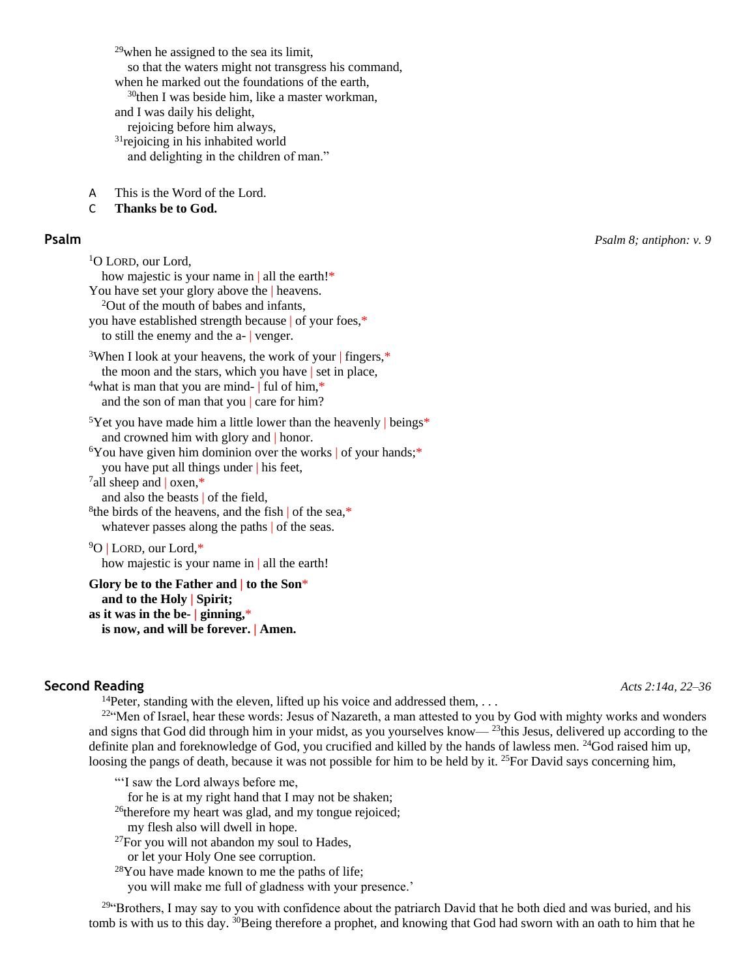<sup>29</sup>when he assigned to the sea its limit, so that the waters might not transgress his command, when he marked out the foundations of the earth.  $30$ <sup>30</sup>then I was beside him, like a master workman, and I was daily his delight, rejoicing before him always, <sup>31</sup>rejoicing in his inhabited world

and delighting in the children of man."

A This is the Word of the Lord.

#### C **Thanks be to God.**

<sup>1</sup>O LORD, our Lord,

how majestic is your name in | all the earth!\* You have set your glory above the | heavens. <sup>2</sup>Out of the mouth of babes and infants, you have established strength because | of your foes,\* to still the enemy and the a- | venger. <sup>3</sup>When I look at your heavens, the work of your | fingers,\* the moon and the stars, which you have | set in place, <sup>4</sup>what is man that you are mind- $\vert$  ful of him,\* and the son of man that you | care for him? <sup>5</sup>Yet you have made him a little lower than the heavenly  $\vert$  beings\* and crowned him with glory and | honor. <sup>6</sup>You have given him dominion over the works  $\vert$  of your hands;\* you have put all things under | his feet,  $^7$ all sheep and | oxen,\* and also the beasts | of the field, <sup>8</sup>the birds of the heavens, and the fish of the sea,\* whatever passes along the paths | of the seas. <sup>9</sup>O | LORD, our Lord,\* how majestic is your name in | all the earth! **Glory be to the Father and | to the Son**\* **and to the Holy | Spirit; as it was in the be- | ginning,**\*

#### **Second Reading** *Acts 2:14a, 22–36*

<sup>14</sup>Peter, standing with the eleven, lifted up his voice and addressed them,  $\dots$ 

<sup>22"</sup>Men of Israel, hear these words: Jesus of Nazareth, a man attested to you by God with mighty works and wonders and signs that God did through him in your midst, as you yourselves know— <sup>23</sup>this Jesus, delivered up according to the definite plan and foreknowledge of God, you crucified and killed by the hands of lawless men. <sup>24</sup>God raised him up, loosing the pangs of death, because it was not possible for him to be held by it. <sup>25</sup>For David says concerning him,

"'I saw the Lord always before me,

**is now, and will be forever. | Amen.**

for he is at my right hand that I may not be shaken;

<sup>26</sup>therefore my heart was glad, and my tongue rejoiced;

my flesh also will dwell in hope.

<sup>27</sup>For you will not abandon my soul to Hades,

or let your Holy One see corruption.

<sup>28</sup>You have made known to me the paths of life;

you will make me full of gladness with your presence.'

<sup>294</sup> Brothers, I may say to you with confidence about the patriarch David that he both died and was buried, and his tomb is with us to this day. <sup>30</sup>Being therefore a prophet, and knowing that God had sworn with an oath to him that he

**Psalm** *Psalm 8; antiphon: v. 9*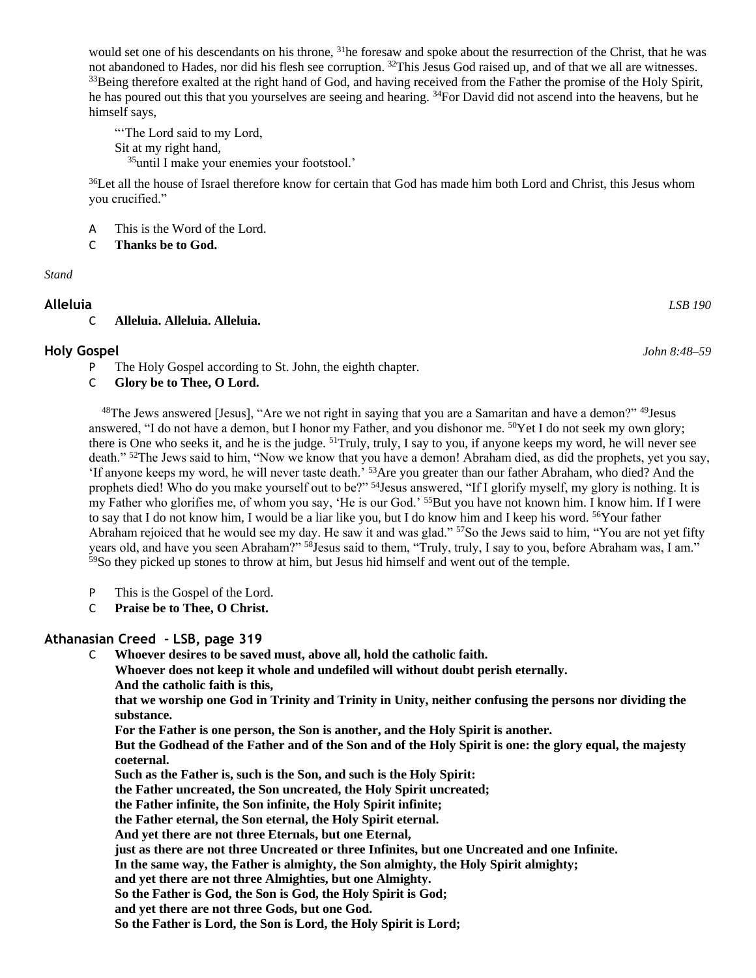would set one of his descendants on his throne, <sup>31</sup>he foresaw and spoke about the resurrection of the Christ, that he was not abandoned to Hades, nor did his flesh see corruption. <sup>32</sup>This Jesus God raised up, and of that we all are witnesses. <sup>33</sup>Being therefore exalted at the right hand of God, and having received from the Father the promise of the Holy Spirit, he has poured out this that you yourselves are seeing and hearing. <sup>34</sup>For David did not ascend into the heavens, but he himself says,

"The Lord said to my Lord, Sit at my right hand, <sup>35</sup>until I make your enemies your footstool.'

<sup>36</sup>Let all the house of Israel therefore know for certain that God has made him both Lord and Christ, this Jesus whom you crucified."

- A This is the Word of the Lord.
- C **Thanks be to God.**

#### *Stand*

### **Alleluia** *LSB 190*

C **Alleluia. Alleluia. Alleluia.**

# **Holy Gospel** *John 8:48–59*

- P The Holy Gospel according to St. John, the eighth chapter.
- C **Glory be to Thee, O Lord.**

<sup>48</sup>The Jews answered [Jesus], "Are we not right in saying that you are a Samaritan and have a demon?" <sup>49</sup>Jesus answered, "I do not have a demon, but I honor my Father, and you dishonor me. <sup>50</sup>Yet I do not seek my own glory; there is One who seeks it, and he is the judge. <sup>51</sup>Truly, truly, I say to you, if anyone keeps my word, he will never see death." <sup>52</sup>The Jews said to him, "Now we know that you have a demon! Abraham died, as did the prophets, yet you say, 'If anyone keeps my word, he will never taste death.' <sup>53</sup>Are you greater than our father Abraham, who died? And the prophets died! Who do you make yourself out to be?" <sup>54</sup>Jesus answered, "If I glorify myself, my glory is nothing. It is my Father who glorifies me, of whom you say, 'He is our God.' <sup>55</sup>But you have not known him. I know him. If I were to say that I do not know him, I would be a liar like you, but I do know him and I keep his word. <sup>56</sup>Your father Abraham rejoiced that he would see my day. He saw it and was glad." <sup>57</sup>So the Jews said to him, "You are not yet fifty years old, and have you seen Abraham?" <sup>58</sup>Jesus said to them, "Truly, truly, I say to you, before Abraham was, I am." <sup>59</sup>So they picked up stones to throw at him, but Jesus hid himself and went out of the temple.

- P This is the Gospel of the Lord.
- C **Praise be to Thee, O Christ.**

# **Athanasian Creed - LSB, page 319**

- C **Whoever desires to be saved must, above all, hold the catholic faith.**
	- **Whoever does not keep it whole and undefiled will without doubt perish eternally. And the catholic faith is this,**

**that we worship one God in Trinity and Trinity in Unity, neither confusing the persons nor dividing the substance.**

**For the Father is one person, the Son is another, and the Holy Spirit is another.**

**But the Godhead of the Father and of the Son and of the Holy Spirit is one: the glory equal, the majesty coeternal.**

**Such as the Father is, such is the Son, and such is the Holy Spirit:**

**the Father uncreated, the Son uncreated, the Holy Spirit uncreated;**

**the Father infinite, the Son infinite, the Holy Spirit infinite;**

**the Father eternal, the Son eternal, the Holy Spirit eternal.**

**And yet there are not three Eternals, but one Eternal,**

**just as there are not three Uncreated or three Infinites, but one Uncreated and one Infinite.**

**In the same way, the Father is almighty, the Son almighty, the Holy Spirit almighty;**

**and yet there are not three Almighties, but one Almighty.**

**So the Father is God, the Son is God, the Holy Spirit is God;**

**and yet there are not three Gods, but one God.**

**So the Father is Lord, the Son is Lord, the Holy Spirit is Lord;**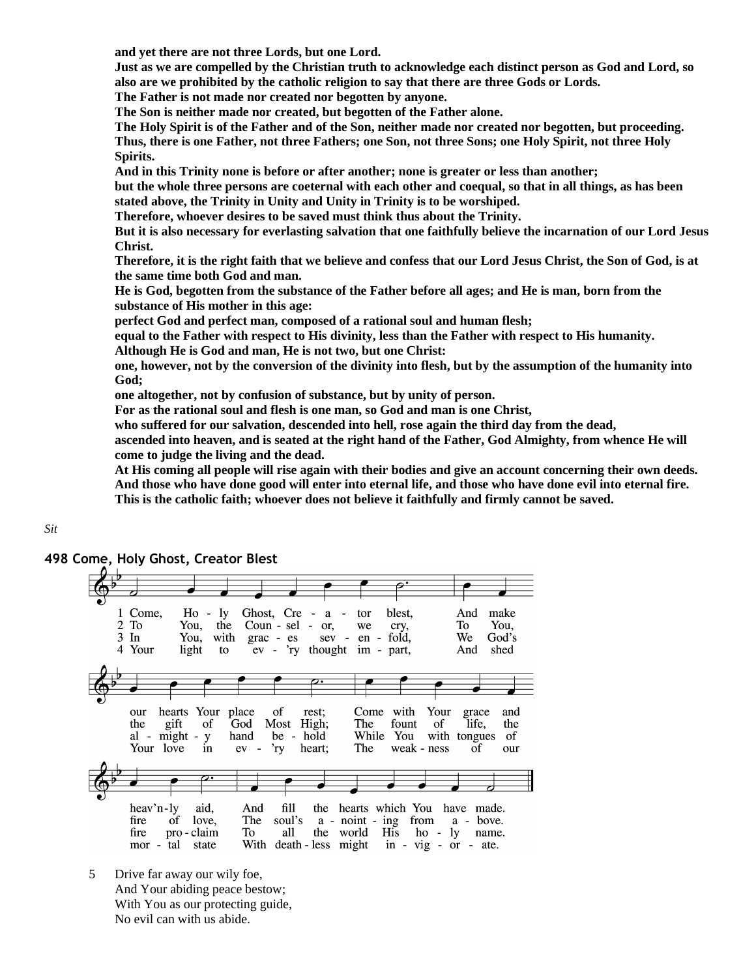**and yet there are not three Lords, but one Lord.**

**Just as we are compelled by the Christian truth to acknowledge each distinct person as God and Lord, so also are we prohibited by the catholic religion to say that there are three Gods or Lords.**

**The Father is not made nor created nor begotten by anyone.**

**The Son is neither made nor created, but begotten of the Father alone.**

**The Holy Spirit is of the Father and of the Son, neither made nor created nor begotten, but proceeding. Thus, there is one Father, not three Fathers; one Son, not three Sons; one Holy Spirit, not three Holy Spirits.**

**And in this Trinity none is before or after another; none is greater or less than another;**

**but the whole three persons are coeternal with each other and coequal, so that in all things, as has been stated above, the Trinity in Unity and Unity in Trinity is to be worshiped.**

**Therefore, whoever desires to be saved must think thus about the Trinity.**

**But it is also necessary for everlasting salvation that one faithfully believe the incarnation of our Lord Jesus Christ.**

**Therefore, it is the right faith that we believe and confess that our Lord Jesus Christ, the Son of God, is at the same time both God and man.**

**He is God, begotten from the substance of the Father before all ages; and He is man, born from the substance of His mother in this age:**

**perfect God and perfect man, composed of a rational soul and human flesh;**

**equal to the Father with respect to His divinity, less than the Father with respect to His humanity.**

**Although He is God and man, He is not two, but one Christ:**

**one, however, not by the conversion of the divinity into flesh, but by the assumption of the humanity into God;**

**one altogether, not by confusion of substance, but by unity of person.**

**For as the rational soul and flesh is one man, so God and man is one Christ,**

**who suffered for our salvation, descended into hell, rose again the third day from the dead,**

**ascended into heaven, and is seated at the right hand of the Father, God Almighty, from whence He will come to judge the living and the dead.**

**At His coming all people will rise again with their bodies and give an account concerning their own deeds. And those who have done good will enter into eternal life, and those who have done evil into eternal fire. This is the catholic faith; whoever does not believe it faithfully and firmly cannot be saved.**

#### *Sit*

**498 Come, Holy Ghost, Creator Blest**



And Your abiding peace bestow; With You as our protecting guide, No evil can with us abide.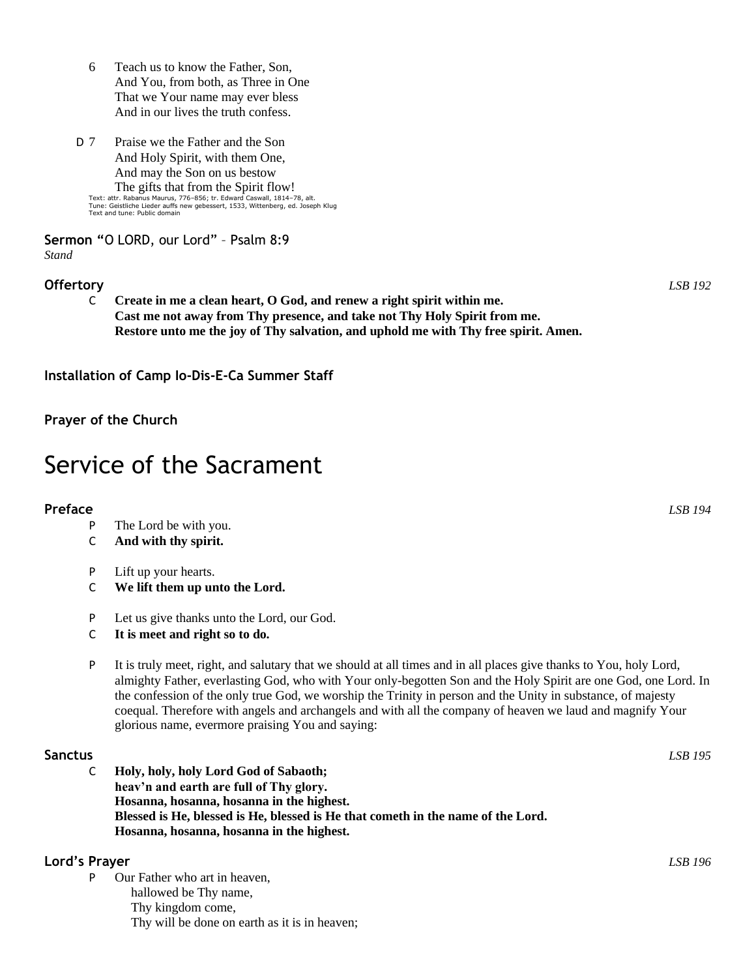- 6 Teach us to know the Father, Son, And You, from both, as Three in One That we Your name may ever bless And in our lives the truth confess.
- D 7 Praise we the Father and the Son And Holy Spirit, with them One, And may the Son on us bestow The gifts that from the Spirit flow! Text: attr. Rabanus Maurus, 776–856; tr. Edward Caswall, 1814–78, alt. Tune: Geistliche Lieder auffs new gebessert, 1533, Wittenberg, ed. Joseph Klug Text and tune: Public domain

**Sermon "**O LORD, our Lord" – Psalm 8:9 *Stand*

#### **Offertory** *LSB 192*

C **Create in me a clean heart, O God, and renew a right spirit within me. Cast me not away from Thy presence, and take not Thy Holy Spirit from me. Restore unto me the joy of Thy salvation, and uphold me with Thy free spirit. Amen.**

**Installation of Camp Io-Dis-E-Ca Summer Staff**

**Prayer of the Church**

# Service of the Sacrament

# **Preface** *LSB 194*

- P The Lord be with you.
- C **And with thy spirit.**
- P Lift up your hearts.
- C **We lift them up unto the Lord.**
- P Let us give thanks unto the Lord, our God.
- C **It is meet and right so to do.**
- P It is truly meet, right, and salutary that we should at all times and in all places give thanks to You, holy Lord, almighty Father, everlasting God, who with Your only-begotten Son and the Holy Spirit are one God, one Lord. In the confession of the only true God, we worship the Trinity in person and the Unity in substance, of majesty coequal. Therefore with angels and archangels and with all the company of heaven we laud and magnify Your glorious name, evermore praising You and saying:

#### **Sanctus** *LSB 195*

C **Holy, holy, holy Lord God of Sabaoth; heav'n and earth are full of Thy glory. Hosanna, hosanna, hosanna in the highest. Blessed is He, blessed is He, blessed is He that cometh in the name of the Lord. Hosanna, hosanna, hosanna in the highest.**

### **Lord's Prayer** *LSB 196*

P Our Father who art in heaven, hallowed be Thy name, Thy kingdom come, Thy will be done on earth as it is in heaven;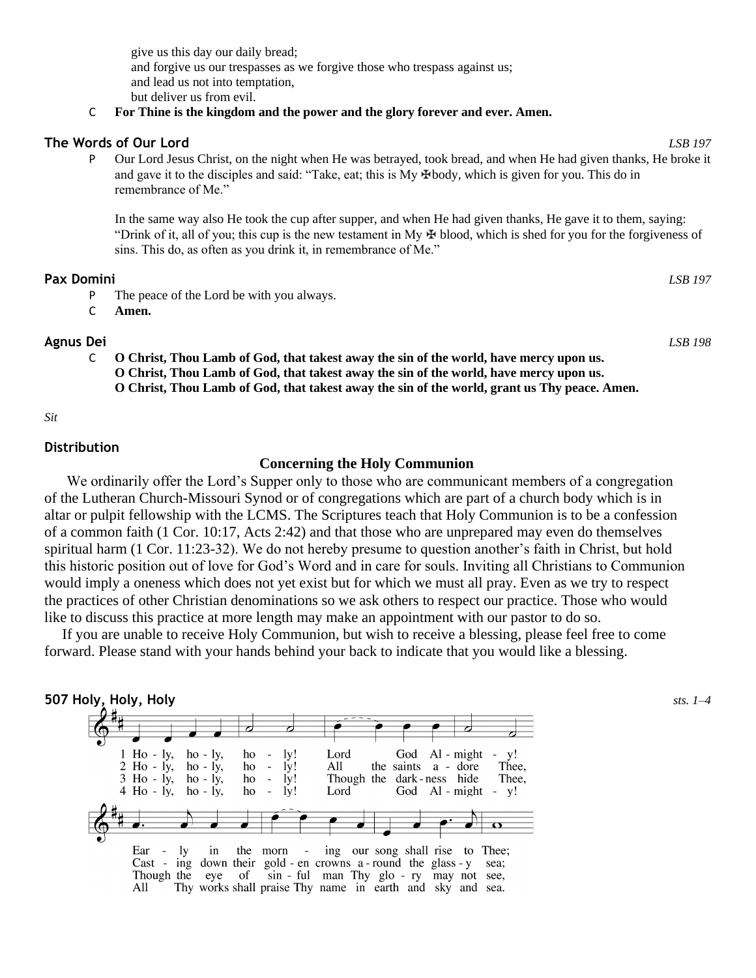give us this day our daily bread; and forgive us our trespasses as we forgive those who trespass against us; and lead us not into temptation, but deliver us from evil.

#### C **For Thine is the kingdom and the power and the glory forever and ever. Amen.**

#### **The Words of Our Lord** *LSB 197*

P Our Lord Jesus Christ, on the night when He was betrayed, took bread, and when He had given thanks, He broke it and gave it to the disciples and said: "Take, eat; this is My  $\text{\textsterling}$ body, which is given for you. This do in remembrance of Me."

In the same way also He took the cup after supper, and when He had given thanks, He gave it to them, saying: "Drink of it, all of you; this cup is the new testament in My  $\oplus$  blood, which is shed for you for the forgiveness of sins. This do, as often as you drink it, in remembrance of Me."

#### **Pax Domini** *LSB 197*

- P The peace of the Lord be with you always.
- C **Amen.**

#### **Agnus Dei** *LSB 198*

C **O Christ, Thou Lamb of God, that takest away the sin of the world, have mercy upon us. O Christ, Thou Lamb of God, that takest away the sin of the world, have mercy upon us. O Christ, Thou Lamb of God, that takest away the sin of the world, grant us Thy peace. Amen.**

*Sit*

#### **Distribution**

#### **Concerning the Holy Communion**

We ordinarily offer the Lord's Supper only to those who are communicant members of a congregation of the Lutheran Church-Missouri Synod or of congregations which are part of a church body which is in altar or pulpit fellowship with the LCMS. The Scriptures teach that Holy Communion is to be a confession of a common faith (1 Cor. 10:17, Acts 2:42) and that those who are unprepared may even do themselves spiritual harm (1 Cor. 11:23-32). We do not hereby presume to question another's faith in Christ, but hold this historic position out of love for God's Word and in care for souls. Inviting all Christians to Communion would imply a oneness which does not yet exist but for which we must all pray. Even as we try to respect the practices of other Christian denominations so we ask others to respect our practice. Those who would like to discuss this practice at more length may make an appointment with our pastor to do so.

If you are unable to receive Holy Communion, but wish to receive a blessing, please feel free to come forward. Please stand with your hands behind your back to indicate that you would like a blessing.

# **507 Holy, Holy, Holy** *sts. 1–4*

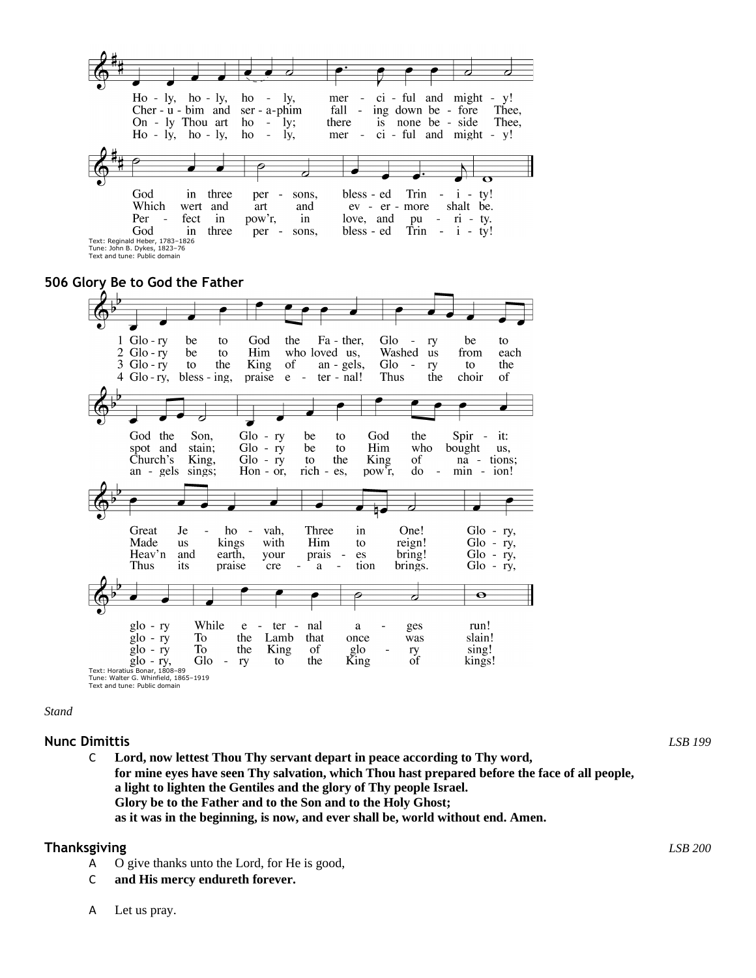



*Stand*

#### **Nunc Dimittis** *LSB 199*

C **Lord, now lettest Thou Thy servant depart in peace according to Thy word, for mine eyes have seen Thy salvation, which Thou hast prepared before the face of all people, a light to lighten the Gentiles and the glory of Thy people Israel. Glory be to the Father and to the Son and to the Holy Ghost; as it was in the beginning, is now, and ever shall be, world without end. Amen.**

#### **Thanksgiving** *LSB 200*

- A O give thanks unto the Lord, for He is good,
- C **and His mercy endureth forever.**
- A Let us pray.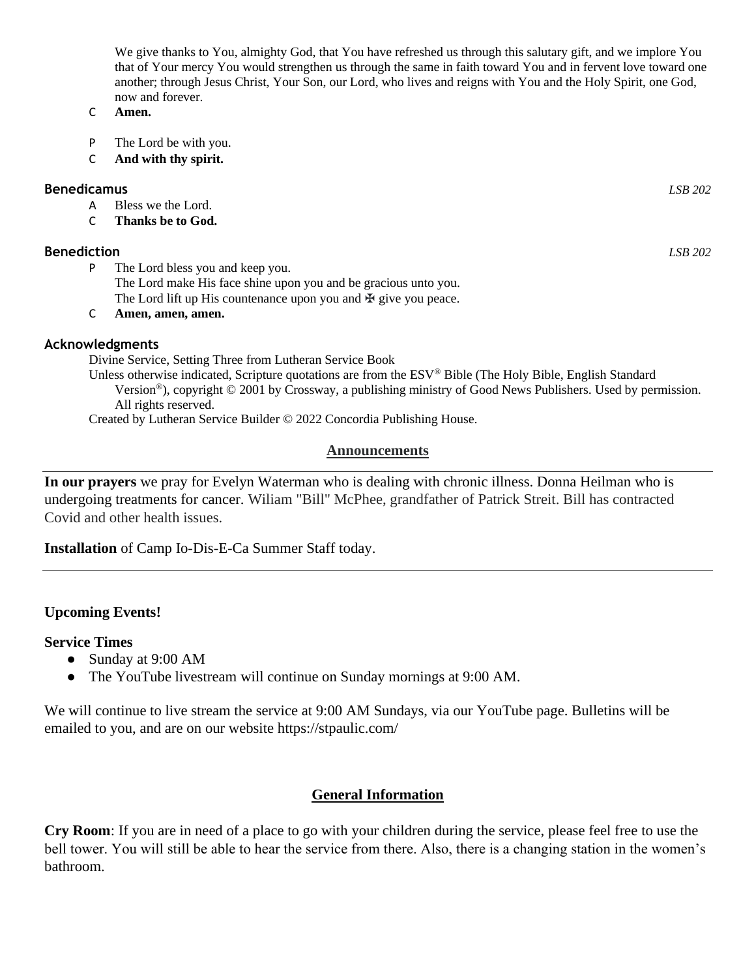We give thanks to You, almighty God, that You have refreshed us through this salutary gift, and we implore You that of Your mercy You would strengthen us through the same in faith toward You and in fervent love toward one another; through Jesus Christ, Your Son, our Lord, who lives and reigns with You and the Holy Spirit, one God, now and forever.

C **Amen.**

- P The Lord be with you.
- C **And with thy spirit.**

# **Benedicamus** *LSB 202*

- A Bless we the Lord.
- C **Thanks be to God.**

# **Benediction** *LSB 202*

- P The Lord bless you and keep you. The Lord make His face shine upon you and be gracious unto you. The Lord lift up His countenance upon you and  $\mathbb F$  give you peace.
- C **Amen, amen, amen.**

# **Acknowledgments**

Divine Service, Setting Three from Lutheran Service Book

Unless otherwise indicated, Scripture quotations are from the ESV® Bible (The Holy Bible, English Standard Version®), copyright © 2001 by Crossway, a publishing ministry of Good News Publishers. Used by permission. All rights reserved.

Created by Lutheran Service Builder © 2022 Concordia Publishing House.

# **Announcements**

**In our prayers** we pray for Evelyn Waterman who is dealing with chronic illness. Donna Heilman who is undergoing treatments for cancer. Wiliam "Bill" McPhee, grandfather of Patrick Streit. Bill has contracted Covid and other health issues.

# **Installation** of Camp Io-Dis-E-Ca Summer Staff today.

# **Upcoming Events!**

# **Service Times**

- Sunday at 9:00 AM
- The YouTube livestream will continue on Sunday mornings at 9:00 AM.

We will continue to live stream the service at 9:00 AM Sundays, via our YouTube page. Bulletins will be emailed to you, and are on our website https://stpaulic.com/

# **General Information**

**Cry Room**: If you are in need of a place to go with your children during the service, please feel free to use the bell tower. You will still be able to hear the service from there. Also, there is a changing station in the women's bathroom.